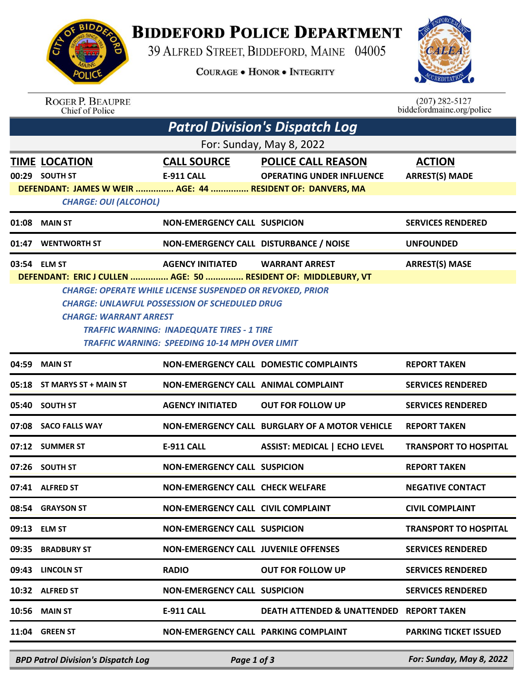## **BIDDEFORD POLICE DEPARTMENT**

39 ALFRED STREET, BIDDEFORD, MAINE 04005

**COURAGE . HONOR . INTEGRITY** 



| <b>ROGER P. BEAUPRE</b> |
|-------------------------|
| Chief of Police         |

 $(207)$  282-5127<br>biddefordmaine.org/police

| <b>Patrol Division's Dispatch Log</b> |                                                                |                                                                                                            |                                                     |                              |  |  |  |  |  |
|---------------------------------------|----------------------------------------------------------------|------------------------------------------------------------------------------------------------------------|-----------------------------------------------------|------------------------------|--|--|--|--|--|
| For: Sunday, May 8, 2022              |                                                                |                                                                                                            |                                                     |                              |  |  |  |  |  |
|                                       | <b>TIME LOCATION</b>                                           | <b>CALL SOURCE</b>                                                                                         | <b>POLICE CALL REASON</b>                           | <b>ACTION</b>                |  |  |  |  |  |
|                                       | 00:29 SOUTH ST                                                 | <b>E-911 CALL</b>                                                                                          | <b>OPERATING UNDER INFLUENCE</b>                    | <b>ARREST(S) MADE</b>        |  |  |  |  |  |
|                                       | DEFENDANT: JAMES W WEIR  AGE: 44  RESIDENT OF: DANVERS, MA     |                                                                                                            |                                                     |                              |  |  |  |  |  |
| <b>CHARGE: OUI (ALCOHOL)</b>          |                                                                |                                                                                                            |                                                     |                              |  |  |  |  |  |
|                                       | 01:08 MAIN ST                                                  | <b>NON-EMERGENCY CALL SUSPICION</b>                                                                        |                                                     | <b>SERVICES RENDERED</b>     |  |  |  |  |  |
| 01:47                                 | <b>WENTWORTH ST</b>                                            | NON-EMERGENCY CALL DISTURBANCE / NOISE                                                                     |                                                     | <b>UNFOUNDED</b>             |  |  |  |  |  |
|                                       | 03:54 ELM ST                                                   | <b>AGENCY INITIATED</b>                                                                                    | <b>WARRANT ARREST</b>                               | <b>ARREST(S) MASE</b>        |  |  |  |  |  |
|                                       | DEFENDANT: ERIC J CULLEN  AGE: 50  RESIDENT OF: MIDDLEBURY, VT |                                                                                                            |                                                     |                              |  |  |  |  |  |
|                                       |                                                                | <b>CHARGE: OPERATE WHILE LICENSE SUSPENDED OR REVOKED, PRIOR</b>                                           |                                                     |                              |  |  |  |  |  |
|                                       |                                                                | <b>CHARGE: UNLAWFUL POSSESSION OF SCHEDULED DRUG</b>                                                       |                                                     |                              |  |  |  |  |  |
|                                       | <b>CHARGE: WARRANT ARREST</b>                                  |                                                                                                            |                                                     |                              |  |  |  |  |  |
|                                       |                                                                | <b>TRAFFIC WARNING: INADEQUATE TIRES - 1 TIRE</b><br><b>TRAFFIC WARNING: SPEEDING 10-14 MPH OVER LIMIT</b> |                                                     |                              |  |  |  |  |  |
|                                       |                                                                |                                                                                                            |                                                     |                              |  |  |  |  |  |
|                                       | 04:59 MAIN ST                                                  |                                                                                                            | <b>NON-EMERGENCY CALL DOMESTIC COMPLAINTS</b>       | <b>REPORT TAKEN</b>          |  |  |  |  |  |
|                                       | 05:18 ST MARYS ST + MAIN ST                                    | <b>NON-EMERGENCY CALL ANIMAL COMPLAINT</b>                                                                 |                                                     | <b>SERVICES RENDERED</b>     |  |  |  |  |  |
|                                       | 05:40 SOUTH ST                                                 | <b>AGENCY INITIATED</b>                                                                                    | <b>OUT FOR FOLLOW UP</b>                            | <b>SERVICES RENDERED</b>     |  |  |  |  |  |
|                                       | 07:08 SACO FALLS WAY                                           |                                                                                                            | NON-EMERGENCY CALL BURGLARY OF A MOTOR VEHICLE      | <b>REPORT TAKEN</b>          |  |  |  |  |  |
|                                       | 07:12 SUMMER ST                                                | <b>E-911 CALL</b>                                                                                          | <b>ASSIST: MEDICAL   ECHO LEVEL</b>                 | <b>TRANSPORT TO HOSPITAL</b> |  |  |  |  |  |
|                                       | 07:26 SOUTH ST                                                 | <b>NON-EMERGENCY CALL SUSPICION</b>                                                                        |                                                     | <b>REPORT TAKEN</b>          |  |  |  |  |  |
|                                       | 07:41 ALFRED ST                                                | <b>NON-EMERGENCY CALL CHECK WELFARE</b>                                                                    |                                                     | <b>NEGATIVE CONTACT</b>      |  |  |  |  |  |
|                                       | 08:54 GRAYSON ST                                               | NON-EMERGENCY CALL CIVIL COMPLAINT                                                                         |                                                     | <b>CIVIL COMPLAINT</b>       |  |  |  |  |  |
|                                       | 09:13 ELM ST                                                   | <b>NON-EMERGENCY CALL SUSPICION</b>                                                                        |                                                     | <b>TRANSPORT TO HOSPITAL</b> |  |  |  |  |  |
|                                       | 09:35 BRADBURY ST                                              | <b>NON-EMERGENCY CALL JUVENILE OFFENSES</b>                                                                |                                                     | <b>SERVICES RENDERED</b>     |  |  |  |  |  |
|                                       | 09:43 LINCOLN ST                                               | <b>RADIO</b>                                                                                               | <b>OUT FOR FOLLOW UP</b>                            | <b>SERVICES RENDERED</b>     |  |  |  |  |  |
|                                       | 10:32 ALFRED ST                                                | <b>NON-EMERGENCY CALL SUSPICION</b>                                                                        |                                                     | <b>SERVICES RENDERED</b>     |  |  |  |  |  |
|                                       | <b>10:56 MAIN ST</b>                                           | <b>E-911 CALL</b>                                                                                          | <b>DEATH ATTENDED &amp; UNATTENDED REPORT TAKEN</b> |                              |  |  |  |  |  |
|                                       | 11:04 GREEN ST                                                 | NON-EMERGENCY CALL PARKING COMPLAINT                                                                       |                                                     | <b>PARKING TICKET ISSUED</b> |  |  |  |  |  |
|                                       |                                                                |                                                                                                            |                                                     |                              |  |  |  |  |  |

*BPD Patrol Division's Dispatch Log Page 1 of 3 For: Sunday, May 8, 2022*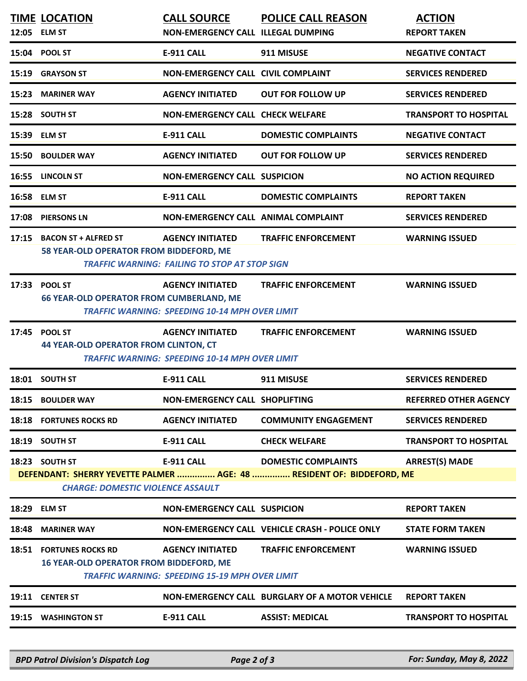|       | <b>TIME LOCATION</b><br>12:05 ELM ST                                             | <b>CALL SOURCE</b><br>NON-EMERGENCY CALL ILLEGAL DUMPING                         | <b>POLICE CALL REASON</b>                                                                           | <b>ACTION</b><br><b>REPORT TAKEN</b> |
|-------|----------------------------------------------------------------------------------|----------------------------------------------------------------------------------|-----------------------------------------------------------------------------------------------------|--------------------------------------|
|       | 15:04 POOL ST                                                                    | <b>E-911 CALL</b>                                                                | 911 MISUSE                                                                                          | <b>NEGATIVE CONTACT</b>              |
| 15:19 | <b>GRAYSON ST</b>                                                                | NON-EMERGENCY CALL CIVIL COMPLAINT                                               |                                                                                                     | <b>SERVICES RENDERED</b>             |
| 15:23 | <b>MARINER WAY</b>                                                               | <b>AGENCY INITIATED</b>                                                          | <b>OUT FOR FOLLOW UP</b>                                                                            | <b>SERVICES RENDERED</b>             |
|       | 15:28 SOUTH ST                                                                   | <b>NON-EMERGENCY CALL CHECK WELFARE</b>                                          |                                                                                                     | <b>TRANSPORT TO HOSPITAL</b>         |
| 15:39 | <b>ELM ST</b>                                                                    | <b>E-911 CALL</b>                                                                | <b>DOMESTIC COMPLAINTS</b>                                                                          | <b>NEGATIVE CONTACT</b>              |
|       | 15:50 BOULDER WAY                                                                | <b>AGENCY INITIATED</b>                                                          | <b>OUT FOR FOLLOW UP</b>                                                                            | <b>SERVICES RENDERED</b>             |
|       | 16:55 LINCOLN ST                                                                 | <b>NON-EMERGENCY CALL SUSPICION</b>                                              |                                                                                                     | <b>NO ACTION REQUIRED</b>            |
| 16:58 | <b>ELM ST</b>                                                                    | E-911 CALL                                                                       | <b>DOMESTIC COMPLAINTS</b>                                                                          | <b>REPORT TAKEN</b>                  |
| 17:08 | <b>PIERSONS LN</b>                                                               | NON-EMERGENCY CALL ANIMAL COMPLAINT                                              |                                                                                                     | <b>SERVICES RENDERED</b>             |
| 17:15 | <b>BACON ST + ALFRED ST</b><br>58 YEAR-OLD OPERATOR FROM BIDDEFORD, ME           | <b>AGENCY INITIATED</b><br><b>TRAFFIC WARNING: FAILING TO STOP AT STOP SIGN</b>  | <b>TRAFFIC ENFORCEMENT</b>                                                                          | <b>WARNING ISSUED</b>                |
| 17:33 | <b>POOL ST</b><br><b>66 YEAR-OLD OPERATOR FROM CUMBERLAND, ME</b>                | <b>AGENCY INITIATED</b><br><b>TRAFFIC WARNING: SPEEDING 10-14 MPH OVER LIMIT</b> | <b>TRAFFIC ENFORCEMENT</b>                                                                          | <b>WARNING ISSUED</b>                |
| 17:45 | <b>POOL ST</b><br><b>44 YEAR-OLD OPERATOR FROM CLINTON, CT</b>                   | <b>AGENCY INITIATED</b><br><b>TRAFFIC WARNING: SPEEDING 10-14 MPH OVER LIMIT</b> | <b>TRAFFIC ENFORCEMENT</b>                                                                          | <b>WARNING ISSUED</b>                |
|       | 18:01 SOUTH ST                                                                   | <b>E-911 CALL</b>                                                                | 911 MISUSE                                                                                          | <b>SERVICES RENDERED</b>             |
|       | 18:15 BOULDER WAY                                                                | NON-EMERGENCY CALL SHOPLIFTING                                                   |                                                                                                     | <b>REFERRED OTHER AGENCY</b>         |
|       | <b>18:18 FORTUNES ROCKS RD</b>                                                   | <b>AGENCY INITIATED</b>                                                          | <b>COMMUNITY ENGAGEMENT</b>                                                                         | <b>SERVICES RENDERED</b>             |
|       | 18:19 SOUTH ST                                                                   | <b>E-911 CALL</b>                                                                | <b>CHECK WELFARE</b>                                                                                | <b>TRANSPORT TO HOSPITAL</b>         |
|       | 18:23 SOUTH ST<br><b>CHARGE: DOMESTIC VIOLENCE ASSAULT</b>                       | <b>E-911 CALL</b>                                                                | <b>DOMESTIC COMPLAINTS</b><br>DEFENDANT: SHERRY YEVETTE PALMER  AGE: 48  RESIDENT OF: BIDDEFORD, ME | <b>ARREST(S) MADE</b>                |
| 18:29 | <b>ELM ST</b>                                                                    | <b>NON-EMERGENCY CALL SUSPICION</b>                                              |                                                                                                     | <b>REPORT TAKEN</b>                  |
| 18:48 | <b>MARINER WAY</b>                                                               |                                                                                  | NON-EMERGENCY CALL VEHICLE CRASH - POLICE ONLY                                                      | <b>STATE FORM TAKEN</b>              |
|       | <b>18:51 FORTUNES ROCKS RD</b><br><b>16 YEAR-OLD OPERATOR FROM BIDDEFORD, ME</b> | <b>AGENCY INITIATED</b><br><b>TRAFFIC WARNING: SPEEDING 15-19 MPH OVER LIMIT</b> | <b>TRAFFIC ENFORCEMENT</b>                                                                          | <b>WARNING ISSUED</b>                |
|       | 19:11 CENTER ST                                                                  |                                                                                  | NON-EMERGENCY CALL BURGLARY OF A MOTOR VEHICLE                                                      | <b>REPORT TAKEN</b>                  |
|       | 19:15 WASHINGTON ST                                                              | <b>E-911 CALL</b>                                                                | <b>ASSIST: MEDICAL</b>                                                                              | <b>TRANSPORT TO HOSPITAL</b>         |
|       |                                                                                  |                                                                                  |                                                                                                     |                                      |